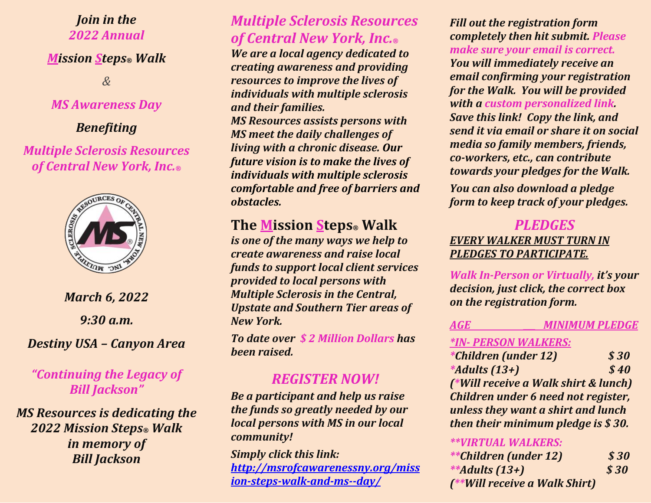#### *Join in the 2022 Annual*

#### *Mission Steps® Walk*

*&*

#### *MS Awareness Day*

#### *Benefiting*

### *Multiple Sclerosis Resources of Central New York, Inc.®*



# *March 6, 2022 9:30 a.m.*

*Destiny USA – Canyon Area*

## *"Continuing the Legacy of Bill Jackson"*

*MS Resources is dedicating the 2022 Mission Steps® Walk in memory of Bill Jackson* 

# *Multiple Sclerosis Resources of Central New York, Inc.®*

*We are a local agency dedicated to creating awareness and providing resources to improve the lives of individuals with multiple sclerosis and their families.* 

*MS Resources assists persons with MS meet the daily challenges of living with a chronic disease. Our future vision is to make the lives of individuals with multiple sclerosis comfortable and free of barriers and obstacles.*

# **The Mission Steps® Walk**

*is one of the many ways we help to create awareness and raise local funds to support local client services provided to local persons with Multiple Sclerosis in the Central, Upstate and Southern Tier areas of New York.* 

*To date over \$ 2 Million Dollars has been raised.*

# *REGISTER NOW!*

*Be a participant and help us raise the funds so greatly needed by our local persons with MS in our local community!*

*Simply click this link: [http://msrofcawarenessny.org/miss](http://msrofcny.org/mission-steps-walk-and-ms-awareness-day/) [ion-steps-walk-and-ms--day/](http://msrofcny.org/mission-steps-walk-and-ms-awareness-day/)*

*Fill out the registration form completely then hit submit. Please make sure your email is correct. You will immediately receive an email confirming your registration for the Walk. You will be provided with a custom personalized link. Save this link! Copy the link, and send it via email or share it on social media so family members, friends, co-workers, etc., can contribute towards your pledges for the Walk.*

*You can also download a pledge form to keep track of your pledges.*

### *PLEDGES EVERY WALKER MUST TURN IN PLEDGES TO PARTICIPATE.*

*Walk In-Person or Virtually, it's your decision, just click, the correct box on the registration form.*

## *AGE \_\_\_ MINIMUM PLEDGE*

#### *\*IN- PERSON WALKERS:*

*\*Children (under 12) \$ 30 \*Adults (13+) \$ 40 (\*Will receive a Walk shirt & lunch) Children under 6 need not register, unless they want a shirt and lunch then their minimum pledge is \$ 30.*

#### *\*\*VIRTUAL WALKERS:*

| <i>**Children (under 12)</i>  | \$30 |
|-------------------------------|------|
| **Adults $(13+)$              | \$30 |
| (**Will receive a Walk Shirt) |      |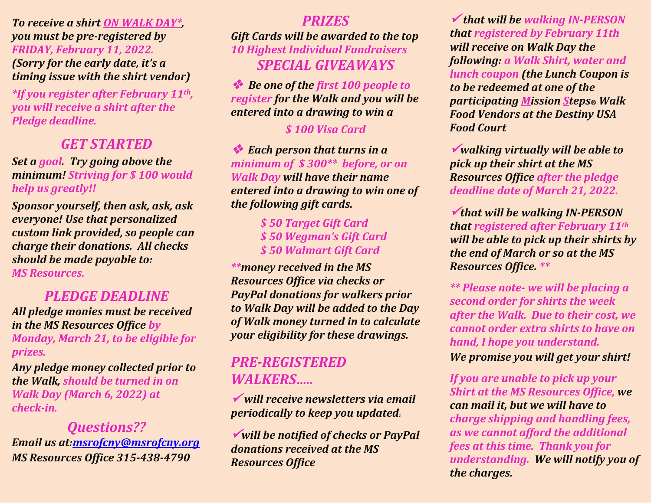*To receive a shirt ON WALK DAY\*, you must be pre-registered by FRIDAY, February 11, 2022. (Sorry for the early date, it's a timing issue with the shirt vendor)*

*\*If you register after February 11th, you will receive a shirt after the Pledge deadline.*

# *GET STARTED*

*Set a goal. Try going above the minimum! Striving for \$ 100 would help us greatly!!*

*Sponsor yourself, then ask, ask, ask everyone! Use that personalized custom link provided, so people can charge their donations. All checks should be made payable to: MS Resources.*

## *PLEDGE DEADLINE*

*All pledge monies must be received in the MS Resources Office by Monday, March 21, to be eligible for prizes.*

*Any pledge money collected prior to the Walk, should be turned in on Walk Day (March 6, 2022) at check-in.*

*Questions?? Email us at[:msrofcny@msrofcny.org](mailto:msrofcny@msrofcny.org) MS Resources Office 315-438-4790*

#### *PRIZES*

*Gift Cards will be awarded to the top 10 Highest Individual Fundraisers SPECIAL GIVEAWAYS*

 *Be one of the first 100 people to register for the Walk and you will be entered into a drawing to win a*

#### *\$ 100 Visa Card*

 *Each person that turns in a minimum of \$ 300\*\* before, or on Walk Day will have their name entered into a drawing to win one of the following gift cards.*

> *\$ 50 Target Gift Card \$ 50 Wegman's Gift Card \$ 50 Walmart Gift Card*

*\*\*money received in the MS Resources Office via checks or PayPal donations for walkers prior to Walk Day will be added to the Day of Walk money turned in to calculate your eligibility for these drawings.*

# *PRE-REGISTERED WALKERS…..*

 *will receive newsletters via email periodically to keep you updated<sup>2</sup>*

*will be notified of checks or PayPal donations received at the MS Resources Office*

 *that will be walking IN-PERSON that registered by February 11th will receive on Walk Day the following: a Walk Shirt, water and lunch coupon (the Lunch Coupon is to be redeemed at one of the participating Mission Steps® Walk Food Vendors at the Destiny USA Food Court*

*walking virtually will be able to pick up their shirt at the MS Resources Office after the pledge deadline date of March 21, 2022.*

*that will be walking IN-PERSON that registered after February 11th will be able to pick up their shirts by the end of March or so at the MS Resources Office. \*\**

*\*\* Please note- we will be placing a second order for shirts the week after the Walk. Due to their cost, we cannot order extra shirts to have on hand, I hope you understand.* 

*We promise you will get your shirt!*

*If you are unable to pick up your Shirt at the MS Resources Office, we can mail it, but we will have to charge shipping and handling fees, as we cannot afford the additional fees at this time. Thank you for understanding. We will notify you of the charges.*